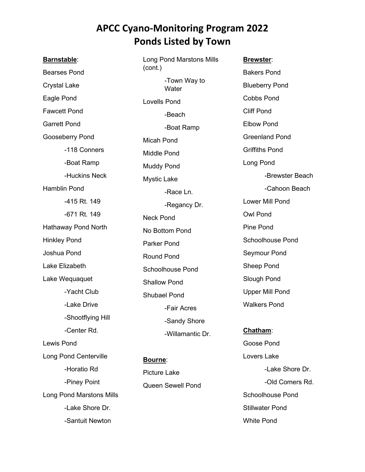## **APCC Cyano-Monitoring Program 2022 Ponds Listed by Town**

**Barnstable**: Bearses Pond Crystal Lake Eagle Pond Fawcett Pond Garrett Pond Gooseberry Pond -118 Conners -Boat Ramp -Huckins Neck Hamblin Pond -415 Rt. 149 -671 Rt. 149 Hathaway Pond North Hinkley Pond Joshua Pond Lake Elizabeth Lake Wequaquet -Yacht Club -Lake Drive -Shootflying Hill -Center Rd. Lewis Pond Long Pond Centerville -Horatio Rd -Piney Point Long Pond Marstons Mills -Lake Shore Dr. -Santuit Newton

Long Pond Marstons Mills (cont.) -Town Way to **Water** Lovells Pond -Beach -Boat Ramp Micah Pond Middle Pond Muddy Pond Mystic Lake -Race Ln. -Regancy Dr. Neck Pond No Bottom Pond Parker Pond Round Pond Schoolhouse Pond Shallow Pond Shubael Pond -Fair Acres -Sandy Shore -Willamantic Dr.

**Bourne**: Picture Lake Queen Sewell Pond

**Brewster**: Bakers Pond Blueberry Pond Cobbs Pond Cliff Pond Elbow Pond Greenland Pond Griffiths Pond Long Pond -Brewster Beach -Cahoon Beach Lower Mill Pond Owl Pond Pine Pond Schoolhouse Pond Seymour Pond Sheep Pond Slough Pond Upper Mill Pond Walkers Pond

**Chatham**: Goose Pond Lovers Lake -Lake Shore Dr. -Old Comers Rd. Schoolhouse Pond Stillwater Pond White Pond